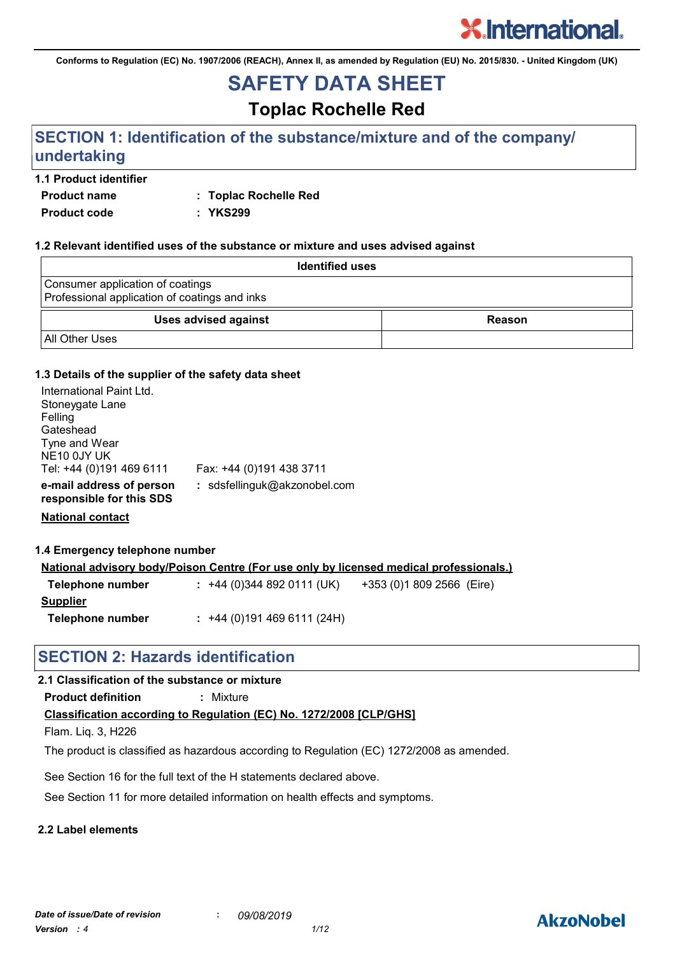**Conforms to Regulation (EC) No. 1907/2006 (REACH), Annex II, as amended by Regulation (EU) No. 2015/830. - United Kingdom (UK)**

# **SAFETY DATA SHEET**

**Toplac Rochelle Red**

# **SECTION 1: Identification of the substance/mixture and of the company/ undertaking**

#### **1.1 Product identifier**

**Product name : Toplac Rochelle Red**

**Product code : YKS299**

#### **1.2 Relevant identified uses of the substance or mixture and uses advised against**

| <b>Identified uses</b>                                                            |        |
|-----------------------------------------------------------------------------------|--------|
| Consumer application of coatings<br>Professional application of coatings and inks |        |
| <b>Uses advised against</b>                                                       | Reason |
| <b>All Other Uses</b>                                                             |        |

#### **1.3 Details of the supplier of the safety data sheet**

| International Paint Ltd.<br>Stoneygate Lane<br>Felling<br>Gateshead<br>Tyne and Wear<br>NE <sub>10</sub> 0JY UK<br>Tel: +44 (0)191 469 6111 | Fax: +44 (0)191 438 3711     |
|---------------------------------------------------------------------------------------------------------------------------------------------|------------------------------|
| e-mail address of person<br>responsible for this SDS                                                                                        | : sdsfellinguk@akzonobel.com |

**National contact**

**1.4 Emergency telephone number**

| National advisory body/Poison Centre (For use only by licensed medical professionals.) |                          |                           |  |
|----------------------------------------------------------------------------------------|--------------------------|---------------------------|--|
| Telephone number                                                                       | $: +44(0)3448920111(UK)$ | +353 (0)1 809 2566 (Eire) |  |
| <b>Supplier</b>                                                                        |                          |                           |  |

**Telephone number :** +44 (0)191 469 6111 (24H)

# **SECTION 2: Hazards identification**

#### **2.1 Classification of the substance or mixture**

**Product definition :** Mixture

**Classification according to Regulation (EC) No. 1272/2008 [CLP/GHS]**

Flam. Liq. 3, H226

The product is classified as hazardous according to Regulation (EC) 1272/2008 as amended.

See Section 16 for the full text of the H statements declared above.

See Section 11 for more detailed information on health effects and symptoms.

#### **2.2 Label elements**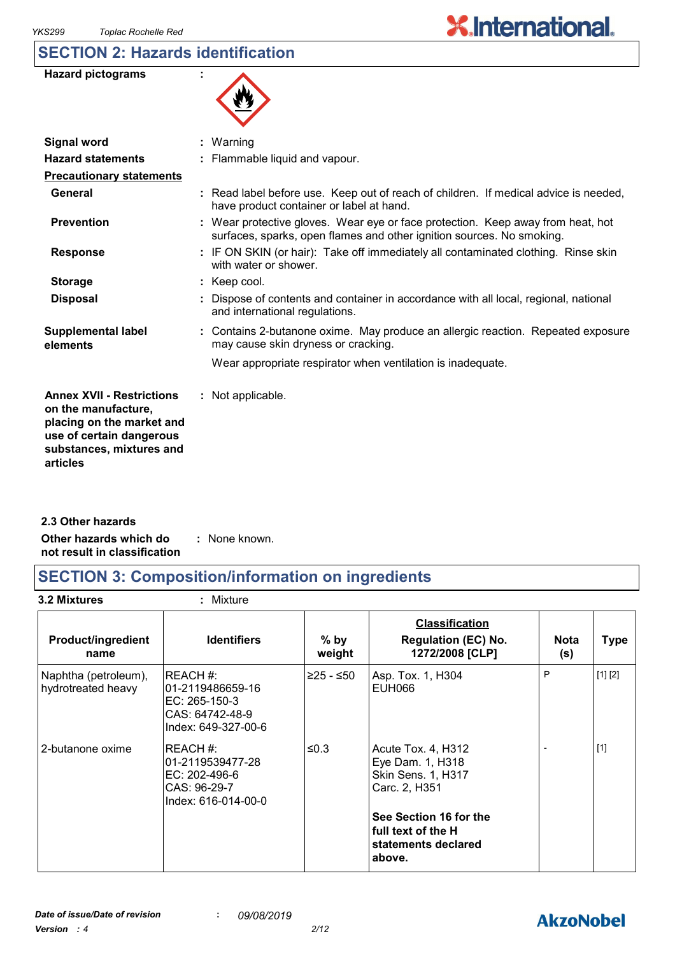# **SECTION 2: Hazards identification**

| <b>Hazard pictograms</b> |  |
|--------------------------|--|
|--------------------------|--|



| <b>Signal word</b>                                                                                                                                       | : Warning                                                                                                                                                |
|----------------------------------------------------------------------------------------------------------------------------------------------------------|----------------------------------------------------------------------------------------------------------------------------------------------------------|
| <b>Hazard statements</b>                                                                                                                                 | : Flammable liquid and vapour.                                                                                                                           |
| <b>Precautionary statements</b>                                                                                                                          |                                                                                                                                                          |
| General                                                                                                                                                  | : Read label before use. Keep out of reach of children. If medical advice is needed,<br>have product container or label at hand.                         |
| <b>Prevention</b>                                                                                                                                        | : Wear protective gloves. Wear eye or face protection. Keep away from heat, hot<br>surfaces, sparks, open flames and other ignition sources. No smoking. |
| <b>Response</b>                                                                                                                                          | : IF ON SKIN (or hair): Take off immediately all contaminated clothing. Rinse skin<br>with water or shower.                                              |
| <b>Storage</b>                                                                                                                                           | $:$ Keep cool.                                                                                                                                           |
| <b>Disposal</b>                                                                                                                                          | : Dispose of contents and container in accordance with all local, regional, national<br>and international regulations.                                   |
| <b>Supplemental label</b><br>elements                                                                                                                    | : Contains 2-butanone oxime. May produce an allergic reaction. Repeated exposure<br>may cause skin dryness or cracking.                                  |
|                                                                                                                                                          | Wear appropriate respirator when ventilation is inadequate.                                                                                              |
| <b>Annex XVII - Restrictions</b><br>on the manufacture,<br>placing on the market and<br>use of certain dangerous<br>substances, mixtures and<br>articles | : Not applicable.                                                                                                                                        |
|                                                                                                                                                          |                                                                                                                                                          |

**Other hazards which do : not result in classification** : None known. **2.3 Other hazards**

# **SECTION 3: Composition/information on ingredients**

**3.2 Mixtures :** Mixture

| <b>Product/ingredient</b><br>name          | <b>Identifiers</b>                                                                      | $%$ by<br>weight | <b>Classification</b><br><b>Regulation (EC) No.</b><br>1272/2008 [CLP]          | <b>Nota</b><br>(s) | <b>Type</b> |
|--------------------------------------------|-----------------------------------------------------------------------------------------|------------------|---------------------------------------------------------------------------------|--------------------|-------------|
| Naphtha (petroleum),<br>hydrotreated heavy | REACH#:<br>l01-2119486659-16<br>EC: 265-150-3<br>CAS: 64742-48-9<br>Index: 649-327-00-6 | ≥25 - ≤50        | Asp. Tox. 1, H304<br>EUH066                                                     | P                  | [1] [2]     |
| 2-butanone oxime                           | REACH #:<br>01-2119539477-28<br>EC: 202-496-6<br>CAS: 96-29-7<br>Index: 616-014-00-0    | ≤0.3             | Acute Tox. 4, H312<br>Eye Dam. 1, H318<br>Skin Sens. 1, H317<br>Carc. 2, H351   |                    | $[1]$       |
|                                            |                                                                                         |                  | See Section 16 for the<br>l full text of the H<br>statements declared<br>above. |                    |             |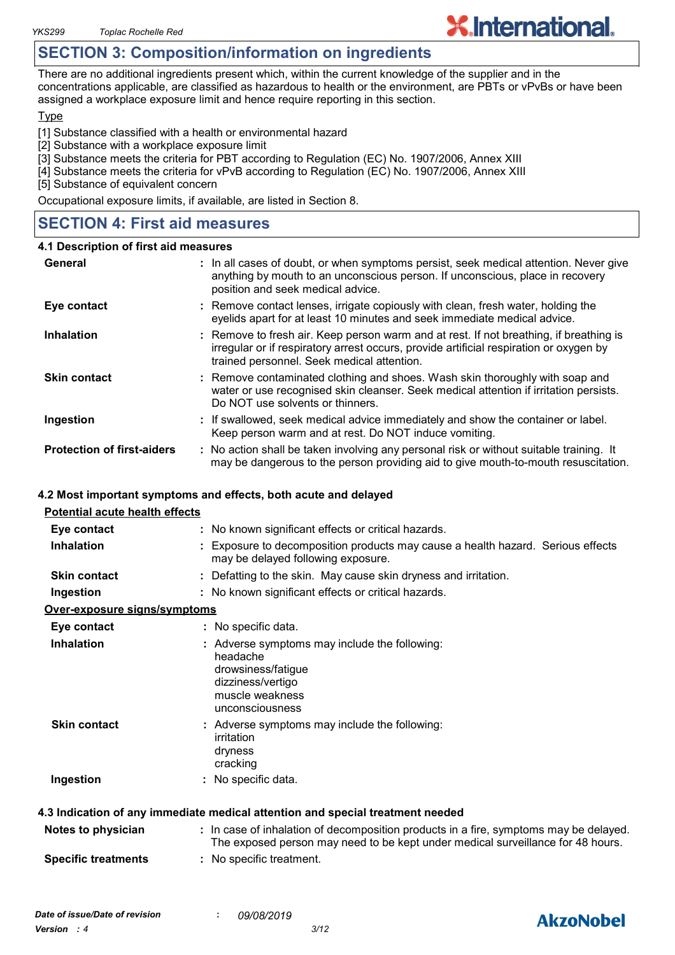# **SECTION 3: Composition/information on ingredients**

There are no additional ingredients present which, within the current knowledge of the supplier and in the concentrations applicable, are classified as hazardous to health or the environment, are PBTs or vPvBs or have been assigned a workplace exposure limit and hence require reporting in this section.

**X.International.** 

#### **Type**

[1] Substance classified with a health or environmental hazard

- [2] Substance with a workplace exposure limit
- [3] Substance meets the criteria for PBT according to Regulation (EC) No. 1907/2006, Annex XIII
- [4] Substance meets the criteria for vPvB according to Regulation (EC) No. 1907/2006, Annex XIII

[5] Substance of equivalent concern

Occupational exposure limits, if available, are listed in Section 8.

# **SECTION 4: First aid measures**

#### **4.1 Description of first aid measures**

| General                           | : In all cases of doubt, or when symptoms persist, seek medical attention. Never give<br>anything by mouth to an unconscious person. If unconscious, place in recovery<br>position and seek medical advice.                    |
|-----------------------------------|--------------------------------------------------------------------------------------------------------------------------------------------------------------------------------------------------------------------------------|
| Eye contact                       | : Remove contact lenses, irrigate copiously with clean, fresh water, holding the<br>eyelids apart for at least 10 minutes and seek immediate medical advice.                                                                   |
| <b>Inhalation</b>                 | : Remove to fresh air. Keep person warm and at rest. If not breathing, if breathing is<br>irregular or if respiratory arrest occurs, provide artificial respiration or oxygen by<br>trained personnel. Seek medical attention. |
| <b>Skin contact</b>               | : Remove contaminated clothing and shoes. Wash skin thoroughly with soap and<br>water or use recognised skin cleanser. Seek medical attention if irritation persists.<br>Do NOT use solvents or thinners.                      |
| Ingestion                         | : If swallowed, seek medical advice immediately and show the container or label.<br>Keep person warm and at rest. Do NOT induce vomiting.                                                                                      |
| <b>Protection of first-aiders</b> | : No action shall be taken involving any personal risk or without suitable training. It<br>may be dangerous to the person providing aid to give mouth-to-mouth resuscitation.                                                  |

#### **4.2 Most important symptoms and effects, both acute and delayed**

| <b>Potential acute health effects</b> |                                                                                                                                                                          |
|---------------------------------------|--------------------------------------------------------------------------------------------------------------------------------------------------------------------------|
| Eye contact                           | : No known significant effects or critical hazards.                                                                                                                      |
| <b>Inhalation</b>                     | : Exposure to decomposition products may cause a health hazard. Serious effects<br>may be delayed following exposure.                                                    |
| <b>Skin contact</b>                   | : Defatting to the skin. May cause skin dryness and irritation.                                                                                                          |
| Ingestion                             | : No known significant effects or critical hazards.                                                                                                                      |
| Over-exposure signs/symptoms          |                                                                                                                                                                          |
| Eye contact                           | : No specific data.                                                                                                                                                      |
| <b>Inhalation</b>                     | : Adverse symptoms may include the following:<br>headache<br>drowsiness/fatigue<br>dizziness/vertigo<br>muscle weakness<br>unconsciousness                               |
| <b>Skin contact</b>                   | : Adverse symptoms may include the following:<br>irritation<br>dryness<br>cracking                                                                                       |
| Ingestion                             | : No specific data.                                                                                                                                                      |
|                                       | 4.3 Indication of any immediate medical attention and special treatment needed                                                                                           |
| Notes to physician                    | : In case of inhalation of decomposition products in a fire, symptoms may be delayed.<br>The exposed person may need to be kept under medical surveillance for 48 hours. |
| <b>Specific treatments</b>            | : No specific treatment.                                                                                                                                                 |



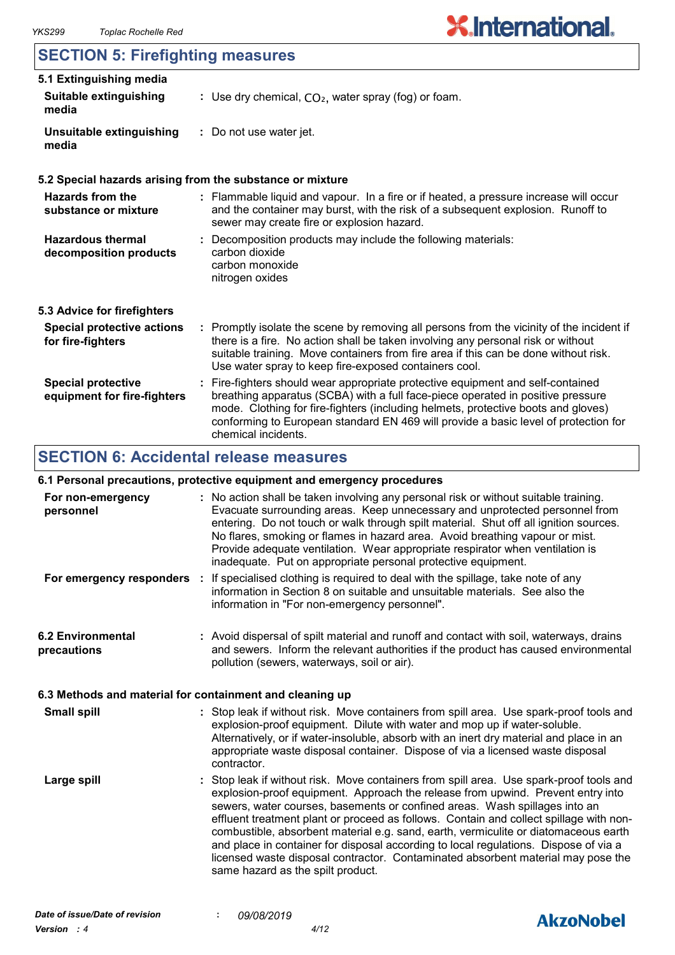# **SECTION 5: Firefighting measures**

| 5.1 Extinguishing media                                  |                                                                                                                                                                                                                                                                                                                                                                       |  |
|----------------------------------------------------------|-----------------------------------------------------------------------------------------------------------------------------------------------------------------------------------------------------------------------------------------------------------------------------------------------------------------------------------------------------------------------|--|
| <b>Suitable extinguishing</b><br>media                   | : Use dry chemical, $CO2$ , water spray (fog) or foam.                                                                                                                                                                                                                                                                                                                |  |
| <b>Unsuitable extinguishing</b><br>media                 | : Do not use water jet.                                                                                                                                                                                                                                                                                                                                               |  |
|                                                          | 5.2 Special hazards arising from the substance or mixture                                                                                                                                                                                                                                                                                                             |  |
| <b>Hazards from the</b><br>substance or mixture          | : Flammable liquid and vapour. In a fire or if heated, a pressure increase will occur<br>and the container may burst, with the risk of a subsequent explosion. Runoff to<br>sewer may create fire or explosion hazard.                                                                                                                                                |  |
| <b>Hazardous thermal</b><br>decomposition products       | : Decomposition products may include the following materials:<br>carbon dioxide<br>carbon monoxide<br>nitrogen oxides                                                                                                                                                                                                                                                 |  |
| 5.3 Advice for firefighters                              |                                                                                                                                                                                                                                                                                                                                                                       |  |
| <b>Special protective actions</b><br>for fire-fighters   | : Promptly isolate the scene by removing all persons from the vicinity of the incident if<br>there is a fire. No action shall be taken involving any personal risk or without<br>suitable training. Move containers from fire area if this can be done without risk.<br>Use water spray to keep fire-exposed containers cool.                                         |  |
| <b>Special protective</b><br>equipment for fire-fighters | : Fire-fighters should wear appropriate protective equipment and self-contained<br>breathing apparatus (SCBA) with a full face-piece operated in positive pressure<br>mode. Clothing for fire-fighters (including helmets, protective boots and gloves)<br>conforming to European standard EN 469 will provide a basic level of protection for<br>chemical incidents. |  |

# **SECTION 6: Accidental release measures**

#### **6.1 Personal precautions, protective equipment and emergency procedures**

| For non-emergency<br>personnel                           | : No action shall be taken involving any personal risk or without suitable training.<br>Evacuate surrounding areas. Keep unnecessary and unprotected personnel from<br>entering. Do not touch or walk through spilt material. Shut off all ignition sources.<br>No flares, smoking or flames in hazard area. Avoid breathing vapour or mist.<br>Provide adequate ventilation. Wear appropriate respirator when ventilation is<br>inadequate. Put on appropriate personal protective equipment.                                                                                                                                                             |
|----------------------------------------------------------|------------------------------------------------------------------------------------------------------------------------------------------------------------------------------------------------------------------------------------------------------------------------------------------------------------------------------------------------------------------------------------------------------------------------------------------------------------------------------------------------------------------------------------------------------------------------------------------------------------------------------------------------------------|
| For emergency responders :                               | If specialised clothing is required to deal with the spillage, take note of any<br>information in Section 8 on suitable and unsuitable materials. See also the<br>information in "For non-emergency personnel".                                                                                                                                                                                                                                                                                                                                                                                                                                            |
| <b>6.2 Environmental</b><br>precautions                  | : Avoid dispersal of spilt material and runoff and contact with soil, waterways, drains<br>and sewers. Inform the relevant authorities if the product has caused environmental<br>pollution (sewers, waterways, soil or air).                                                                                                                                                                                                                                                                                                                                                                                                                              |
| 6.3 Methods and material for containment and cleaning up |                                                                                                                                                                                                                                                                                                                                                                                                                                                                                                                                                                                                                                                            |
| <b>Small spill</b>                                       | : Stop leak if without risk. Move containers from spill area. Use spark-proof tools and<br>explosion-proof equipment. Dilute with water and mop up if water-soluble.<br>Alternatively, or if water-insoluble, absorb with an inert dry material and place in an<br>appropriate waste disposal container. Dispose of via a licensed waste disposal<br>contractor.                                                                                                                                                                                                                                                                                           |
| Large spill                                              | : Stop leak if without risk. Move containers from spill area. Use spark-proof tools and<br>explosion-proof equipment. Approach the release from upwind. Prevent entry into<br>sewers, water courses, basements or confined areas. Wash spillages into an<br>effluent treatment plant or proceed as follows. Contain and collect spillage with non-<br>combustible, absorbent material e.g. sand, earth, vermiculite or diatomaceous earth<br>and place in container for disposal according to local regulations. Dispose of via a<br>licensed waste disposal contractor. Contaminated absorbent material may pose the<br>same hazard as the spilt product. |

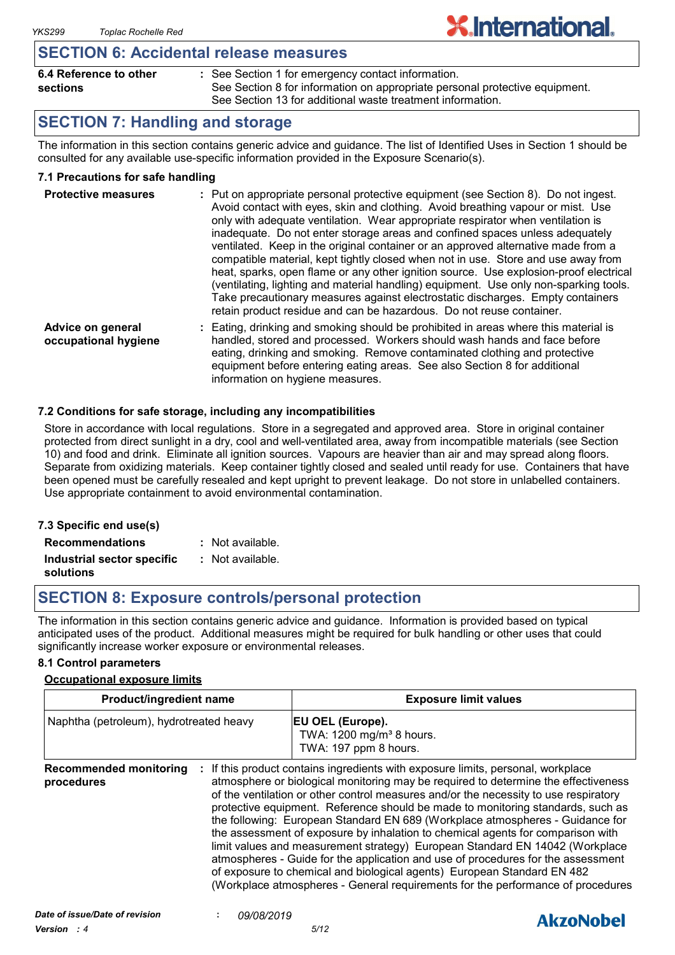### **SECTION 6: Accidental release measures**

| 6.4 Reference to other | : See Section 1 for emergency contact information.                          |
|------------------------|-----------------------------------------------------------------------------|
| sections               | See Section 8 for information on appropriate personal protective equipment. |
|                        | See Section 13 for additional waste treatment information.                  |

**X.International.** 

# **SECTION 7: Handling and storage**

The information in this section contains generic advice and guidance. The list of Identified Uses in Section 1 should be consulted for any available use-specific information provided in the Exposure Scenario(s).

#### **7.1 Precautions for safe handling**

| <b>Protective measures</b>                | : Put on appropriate personal protective equipment (see Section 8). Do not ingest.<br>Avoid contact with eyes, skin and clothing. Avoid breathing vapour or mist. Use<br>only with adequate ventilation. Wear appropriate respirator when ventilation is<br>inadequate. Do not enter storage areas and confined spaces unless adequately<br>ventilated. Keep in the original container or an approved alternative made from a<br>compatible material, kept tightly closed when not in use. Store and use away from<br>heat, sparks, open flame or any other ignition source. Use explosion-proof electrical<br>(ventilating, lighting and material handling) equipment. Use only non-sparking tools.<br>Take precautionary measures against electrostatic discharges. Empty containers<br>retain product residue and can be hazardous. Do not reuse container. |
|-------------------------------------------|----------------------------------------------------------------------------------------------------------------------------------------------------------------------------------------------------------------------------------------------------------------------------------------------------------------------------------------------------------------------------------------------------------------------------------------------------------------------------------------------------------------------------------------------------------------------------------------------------------------------------------------------------------------------------------------------------------------------------------------------------------------------------------------------------------------------------------------------------------------|
| Advice on general<br>occupational hygiene | Eating, drinking and smoking should be prohibited in areas where this material is<br>handled, stored and processed. Workers should wash hands and face before<br>eating, drinking and smoking. Remove contaminated clothing and protective<br>equipment before entering eating areas. See also Section 8 for additional                                                                                                                                                                                                                                                                                                                                                                                                                                                                                                                                        |

#### **7.2 Conditions for safe storage, including any incompatibilities**

Store in accordance with local regulations. Store in a segregated and approved area. Store in original container protected from direct sunlight in a dry, cool and well-ventilated area, away from incompatible materials (see Section 10) and food and drink. Eliminate all ignition sources. Vapours are heavier than air and may spread along floors. Separate from oxidizing materials. Keep container tightly closed and sealed until ready for use. Containers that have been opened must be carefully resealed and kept upright to prevent leakage. Do not store in unlabelled containers. Use appropriate containment to avoid environmental contamination.

information on hygiene measures.

#### **7.3 Specific end use(s) Recommendations : Industrial sector specific : solutions** : Not available. : Not available.

# **SECTION 8: Exposure controls/personal protection**

The information in this section contains generic advice and guidance. Information is provided based on typical anticipated uses of the product. Additional measures might be required for bulk handling or other uses that could significantly increase worker exposure or environmental releases.

#### **8.1 Control parameters**

#### **Occupational exposure limits**

| <b>Product/ingredient name</b>              |  | <b>Exposure limit values</b>                                                                                                                                                                                                                                                                                                                                                                                                                                                                                                                                                                                                                                                                                                                                                                                                                          |  |
|---------------------------------------------|--|-------------------------------------------------------------------------------------------------------------------------------------------------------------------------------------------------------------------------------------------------------------------------------------------------------------------------------------------------------------------------------------------------------------------------------------------------------------------------------------------------------------------------------------------------------------------------------------------------------------------------------------------------------------------------------------------------------------------------------------------------------------------------------------------------------------------------------------------------------|--|
| Naphtha (petroleum), hydrotreated heavy     |  | <b>EU OEL (Europe).</b><br>TWA: 1200 mg/m <sup>3</sup> 8 hours.<br>TWA: 197 ppm 8 hours.                                                                                                                                                                                                                                                                                                                                                                                                                                                                                                                                                                                                                                                                                                                                                              |  |
| <b>Recommended monitoring</b><br>procedures |  | If this product contains ingredients with exposure limits, personal, workplace<br>atmosphere or biological monitoring may be required to determine the effectiveness<br>of the ventilation or other control measures and/or the necessity to use respiratory<br>protective equipment. Reference should be made to monitoring standards, such as<br>the following: European Standard EN 689 (Workplace atmospheres - Guidance for<br>the assessment of exposure by inhalation to chemical agents for comparison with<br>limit values and measurement strategy) European Standard EN 14042 (Workplace<br>atmospheres - Guide for the application and use of procedures for the assessment<br>of exposure to chemical and biological agents) European Standard EN 482<br>(Workplace atmospheres - General requirements for the performance of procedures |  |

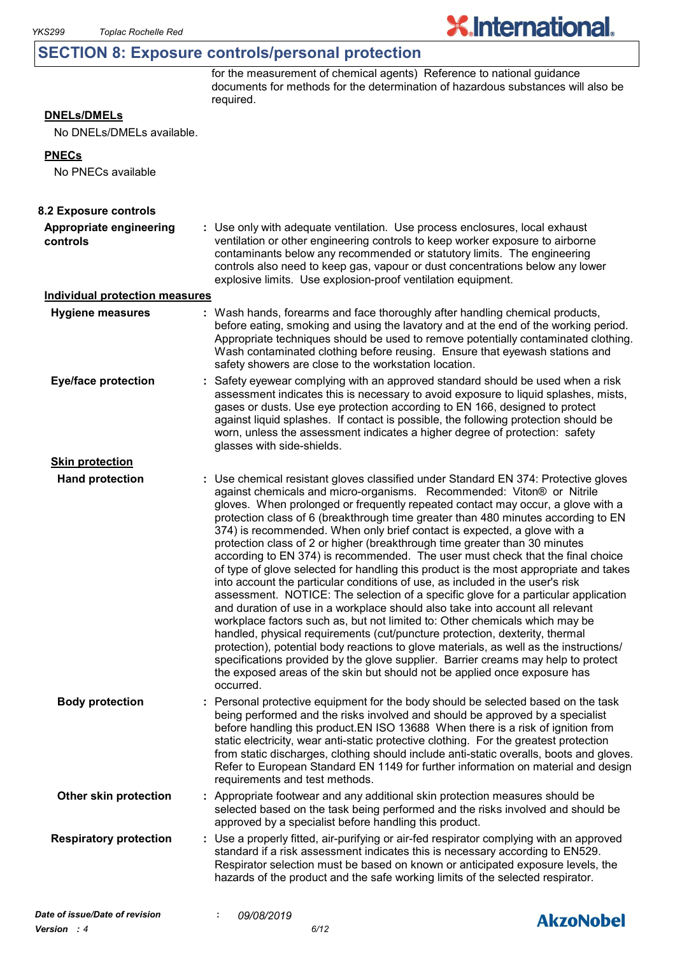# **SECTION 8: Exposure controls/personal protection**

for the measurement of chemical agents) Reference to national guidance documents for methods for the determination of hazardous substances will also be required.

**X.International.** 

#### **DNELs/DMELs**

No DNELs/DMELs available.

#### **PNECs**

No PNECs available

| 8.2 Exposure controls                 |                                                                                                                                                                                                                                                                                                                                                                                                                                                                                                                                                                                                                                                                                                                                                                                                                                                                                                                                                                                                                                                                                                                                                                                                                                                                                                                                                                          |                  |
|---------------------------------------|--------------------------------------------------------------------------------------------------------------------------------------------------------------------------------------------------------------------------------------------------------------------------------------------------------------------------------------------------------------------------------------------------------------------------------------------------------------------------------------------------------------------------------------------------------------------------------------------------------------------------------------------------------------------------------------------------------------------------------------------------------------------------------------------------------------------------------------------------------------------------------------------------------------------------------------------------------------------------------------------------------------------------------------------------------------------------------------------------------------------------------------------------------------------------------------------------------------------------------------------------------------------------------------------------------------------------------------------------------------------------|------------------|
| Appropriate engineering<br>controls   | : Use only with adequate ventilation. Use process enclosures, local exhaust<br>ventilation or other engineering controls to keep worker exposure to airborne<br>contaminants below any recommended or statutory limits. The engineering<br>controls also need to keep gas, vapour or dust concentrations below any lower<br>explosive limits. Use explosion-proof ventilation equipment.                                                                                                                                                                                                                                                                                                                                                                                                                                                                                                                                                                                                                                                                                                                                                                                                                                                                                                                                                                                 |                  |
| <b>Individual protection measures</b> |                                                                                                                                                                                                                                                                                                                                                                                                                                                                                                                                                                                                                                                                                                                                                                                                                                                                                                                                                                                                                                                                                                                                                                                                                                                                                                                                                                          |                  |
| <b>Hygiene measures</b>               | : Wash hands, forearms and face thoroughly after handling chemical products,<br>before eating, smoking and using the lavatory and at the end of the working period.<br>Appropriate techniques should be used to remove potentially contaminated clothing.<br>Wash contaminated clothing before reusing. Ensure that eyewash stations and<br>safety showers are close to the workstation location.                                                                                                                                                                                                                                                                                                                                                                                                                                                                                                                                                                                                                                                                                                                                                                                                                                                                                                                                                                        |                  |
| <b>Eye/face protection</b>            | Safety eyewear complying with an approved standard should be used when a risk<br>assessment indicates this is necessary to avoid exposure to liquid splashes, mists,<br>gases or dusts. Use eye protection according to EN 166, designed to protect<br>against liquid splashes. If contact is possible, the following protection should be<br>worn, unless the assessment indicates a higher degree of protection: safety<br>glasses with side-shields.                                                                                                                                                                                                                                                                                                                                                                                                                                                                                                                                                                                                                                                                                                                                                                                                                                                                                                                  |                  |
| <b>Skin protection</b>                |                                                                                                                                                                                                                                                                                                                                                                                                                                                                                                                                                                                                                                                                                                                                                                                                                                                                                                                                                                                                                                                                                                                                                                                                                                                                                                                                                                          |                  |
| <b>Hand protection</b>                | : Use chemical resistant gloves classified under Standard EN 374: Protective gloves<br>against chemicals and micro-organisms. Recommended: Viton® or Nitrile<br>gloves. When prolonged or frequently repeated contact may occur, a glove with a<br>protection class of 6 (breakthrough time greater than 480 minutes according to EN<br>374) is recommended. When only brief contact is expected, a glove with a<br>protection class of 2 or higher (breakthrough time greater than 30 minutes<br>according to EN 374) is recommended. The user must check that the final choice<br>of type of glove selected for handling this product is the most appropriate and takes<br>into account the particular conditions of use, as included in the user's risk<br>assessment. NOTICE: The selection of a specific glove for a particular application<br>and duration of use in a workplace should also take into account all relevant<br>workplace factors such as, but not limited to: Other chemicals which may be<br>handled, physical requirements (cut/puncture protection, dexterity, thermal<br>protection), potential body reactions to glove materials, as well as the instructions/<br>specifications provided by the glove supplier. Barrier creams may help to protect<br>the exposed areas of the skin but should not be applied once exposure has<br>occurred. |                  |
| <b>Body protection</b>                | : Personal protective equipment for the body should be selected based on the task<br>being performed and the risks involved and should be approved by a specialist<br>before handling this product. EN ISO 13688 When there is a risk of ignition from<br>static electricity, wear anti-static protective clothing. For the greatest protection<br>from static discharges, clothing should include anti-static overalls, boots and gloves.<br>Refer to European Standard EN 1149 for further information on material and design<br>requirements and test methods.                                                                                                                                                                                                                                                                                                                                                                                                                                                                                                                                                                                                                                                                                                                                                                                                        |                  |
| Other skin protection                 | : Appropriate footwear and any additional skin protection measures should be<br>selected based on the task being performed and the risks involved and should be<br>approved by a specialist before handling this product.                                                                                                                                                                                                                                                                                                                                                                                                                                                                                                                                                                                                                                                                                                                                                                                                                                                                                                                                                                                                                                                                                                                                                |                  |
| <b>Respiratory protection</b>         | Use a properly fitted, air-purifying or air-fed respirator complying with an approved<br>standard if a risk assessment indicates this is necessary according to EN529.<br>Respirator selection must be based on known or anticipated exposure levels, the<br>hazards of the product and the safe working limits of the selected respirator.                                                                                                                                                                                                                                                                                                                                                                                                                                                                                                                                                                                                                                                                                                                                                                                                                                                                                                                                                                                                                              |                  |
| Date of issue/Date of revision        | 09/08/2019                                                                                                                                                                                                                                                                                                                                                                                                                                                                                                                                                                                                                                                                                                                                                                                                                                                                                                                                                                                                                                                                                                                                                                                                                                                                                                                                                               | <b>AkzoNobel</b> |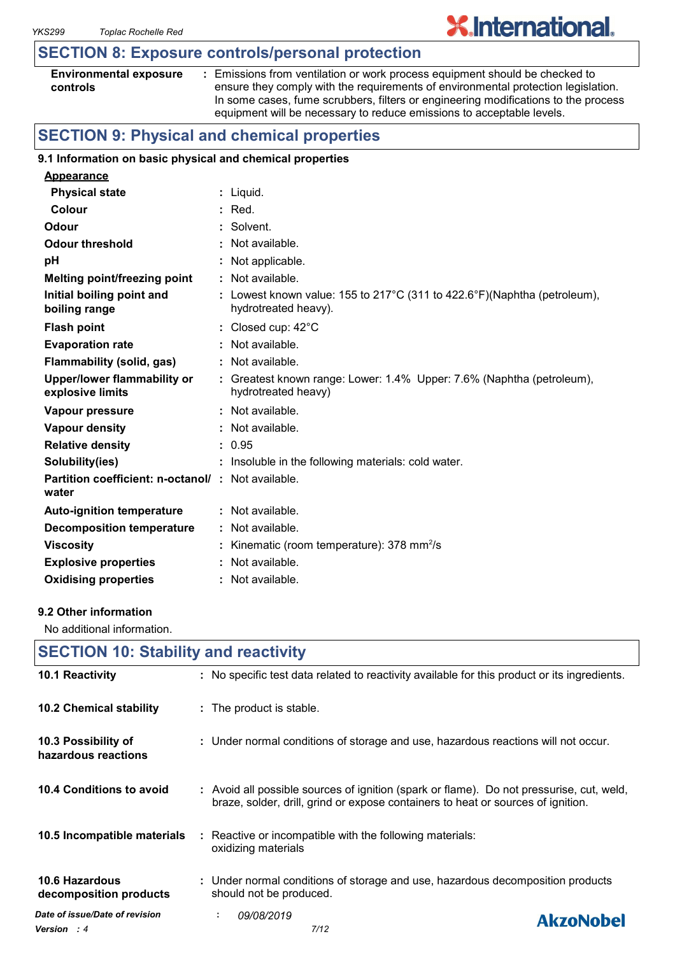## **SECTION 8: Exposure controls/personal protection**

| <b>Environmental exposure</b> |  |
|-------------------------------|--|
| controls                      |  |

**:** Emissions from ventilation or work process equipment should be checked to ensure they comply with the requirements of environmental protection legislation. In some cases, fume scrubbers, filters or engineering modifications to the process equipment will be necessary to reduce emissions to acceptable levels.

**X.International.** 

# **SECTION 9: Physical and chemical properties**

#### **9.1 Information on basic physical and chemical properties**

| <b>Appearance</b>                                                 |                                                                                                  |
|-------------------------------------------------------------------|--------------------------------------------------------------------------------------------------|
| <b>Physical state</b>                                             | : Liquid.                                                                                        |
| Colour                                                            | $:$ Red.                                                                                         |
| Odour                                                             | : Solvent.                                                                                       |
| <b>Odour threshold</b>                                            | : Not available.                                                                                 |
| рH                                                                | : Not applicable.                                                                                |
| <b>Melting point/freezing point</b>                               | : Not available.                                                                                 |
| Initial boiling point and<br>boiling range                        | : Lowest known value: 155 to 217°C (311 to 422.6°F)(Naphtha (petroleum),<br>hydrotreated heavy). |
| <b>Flash point</b>                                                | : Closed cup: $42^{\circ}$ C                                                                     |
| <b>Evaporation rate</b>                                           | $:$ Not available.                                                                               |
| Flammability (solid, gas)                                         | : Not available.                                                                                 |
| <b>Upper/lower flammability or</b><br>explosive limits            | : Greatest known range: Lower: 1.4% Upper: 7.6% (Naphtha (petroleum),<br>hydrotreated heavy)     |
| Vapour pressure                                                   | : Not available.                                                                                 |
| <b>Vapour density</b>                                             | : Not available.                                                                                 |
| <b>Relative density</b>                                           | : 0.95                                                                                           |
| Solubility(ies)                                                   | : Insoluble in the following materials: cold water.                                              |
| <b>Partition coefficient: n-octanol/: Not available.</b><br>water |                                                                                                  |
| <b>Auto-ignition temperature</b>                                  | $:$ Not available.                                                                               |
| <b>Decomposition temperature</b>                                  | : Not available.                                                                                 |
| <b>Viscosity</b>                                                  | : Kinematic (room temperature): 378 mm $^{2}/s$                                                  |
| <b>Explosive properties</b>                                       | : Not available.                                                                                 |
| <b>Oxidising properties</b>                                       | : Not available.                                                                                 |

#### **9.2 Other information**

No additional information.

| <b>SECTION 10: Stability and reactivity</b>          |                                                                                                                                                                              |  |  |  |
|------------------------------------------------------|------------------------------------------------------------------------------------------------------------------------------------------------------------------------------|--|--|--|
| 10.1 Reactivity                                      | : No specific test data related to reactivity available for this product or its ingredients.                                                                                 |  |  |  |
| 10.2 Chemical stability                              | : The product is stable.                                                                                                                                                     |  |  |  |
| 10.3 Possibility of<br>hazardous reactions           | : Under normal conditions of storage and use, hazardous reactions will not occur.                                                                                            |  |  |  |
| 10.4 Conditions to avoid                             | : Avoid all possible sources of ignition (spark or flame). Do not pressurise, cut, weld,<br>braze, solder, drill, grind or expose containers to heat or sources of ignition. |  |  |  |
| 10.5 Incompatible materials                          | : Reactive or incompatible with the following materials:<br>oxidizing materials                                                                                              |  |  |  |
| <b>10.6 Hazardous</b><br>decomposition products      | : Under normal conditions of storage and use, hazardous decomposition products<br>should not be produced.                                                                    |  |  |  |
| Date of issue/Date of revision<br><b>Version</b> : 4 | 09/08/2019<br>÷.<br><b>AkzoNobel</b><br>7/12                                                                                                                                 |  |  |  |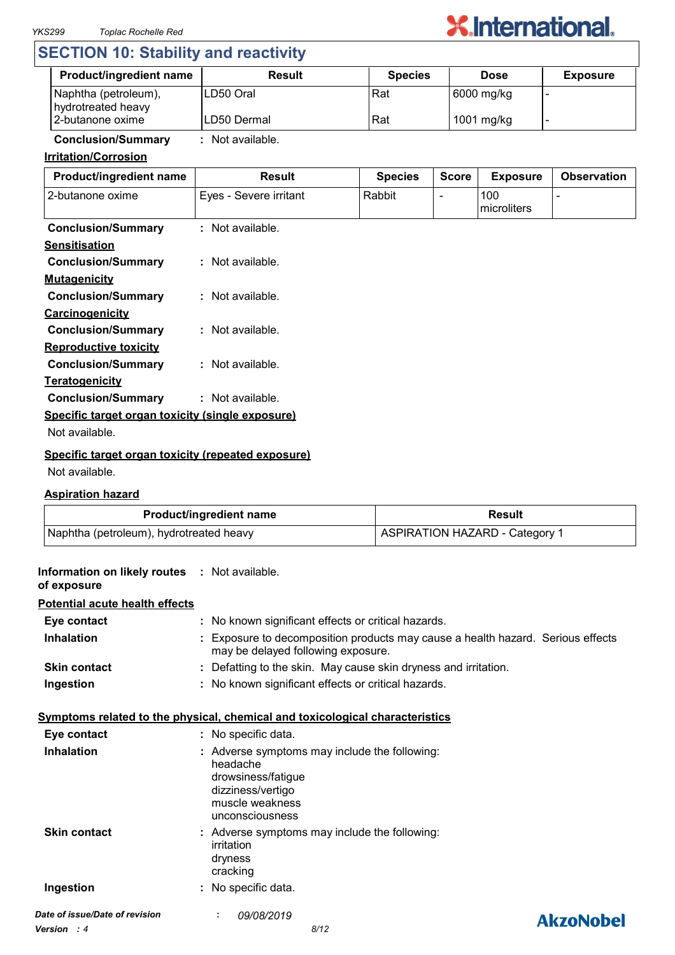

# **SECTION 10: Stability and reactivity**

| <b>Product/ingredient name</b>             | <b>Result</b> | <b>Species</b> | <b>Dose</b> | <b>Exposure</b> |
|--------------------------------------------|---------------|----------------|-------------|-----------------|
| Naphtha (petroleum),<br>hydrotreated heavy | ILD50 Oral    | Rat            | 6000 mg/kg  |                 |
| 2-butanone oxime                           | ILD50 Dermal  | Rat            | 1001 mg/kg  |                 |

### **Conclusion/Summary :** Not available.

#### **Irritation/Corrosion**

| Product/ingredient name                            | <b>Result</b>          | <b>Species</b> | <b>Score</b> | <b>Exposure</b>    | <b>Observation</b> |
|----------------------------------------------------|------------------------|----------------|--------------|--------------------|--------------------|
| 2-butanone oxime                                   | Eyes - Severe irritant | Rabbit         |              | 100<br>microliters |                    |
| <b>Conclusion/Summary</b>                          | : Not available.       |                |              |                    |                    |
| <b>Sensitisation</b>                               |                        |                |              |                    |                    |
| <b>Conclusion/Summary</b>                          | : Not available.       |                |              |                    |                    |
| <b>Mutagenicity</b>                                |                        |                |              |                    |                    |
| <b>Conclusion/Summary</b>                          | : Not available.       |                |              |                    |                    |
| Carcinogenicity                                    |                        |                |              |                    |                    |
| <b>Conclusion/Summary</b>                          | : Not available.       |                |              |                    |                    |
| <b>Reproductive toxicity</b>                       |                        |                |              |                    |                    |
| <b>Conclusion/Summary</b>                          | : Not available.       |                |              |                    |                    |
| <b>Teratogenicity</b>                              |                        |                |              |                    |                    |
| <b>Conclusion/Summary</b>                          | : Not available.       |                |              |                    |                    |
| Specific target organ toxicity (single exposure)   |                        |                |              |                    |                    |
| Not available.                                     |                        |                |              |                    |                    |
| Specific target organ toxicity (repeated exposure) |                        |                |              |                    |                    |

#### Not available.

#### **Aspiration hazard**

| <b>Product/ingredient name</b>          | Result                                |
|-----------------------------------------|---------------------------------------|
| Naphtha (petroleum), hydrotreated heavy | <b>ASPIRATION HAZARD - Category 1</b> |

| Information on likely routes : Not available.<br>of exposure |                                                                                                                                            |                  |
|--------------------------------------------------------------|--------------------------------------------------------------------------------------------------------------------------------------------|------------------|
| <b>Potential acute health effects</b>                        |                                                                                                                                            |                  |
| Eye contact                                                  | No known significant effects or critical hazards.                                                                                          |                  |
| <b>Inhalation</b>                                            | Exposure to decomposition products may cause a health hazard. Serious effects<br>may be delayed following exposure.                        |                  |
| <b>Skin contact</b>                                          | Defatting to the skin. May cause skin dryness and irritation.                                                                              |                  |
| Ingestion                                                    | No known significant effects or critical hazards.                                                                                          |                  |
|                                                              | Symptoms related to the physical, chemical and toxicological characteristics                                                               |                  |
| Eye contact                                                  | No specific data.                                                                                                                          |                  |
| <b>Inhalation</b>                                            | : Adverse symptoms may include the following:<br>headache<br>drowsiness/fatigue<br>dizziness/vertigo<br>muscle weakness<br>unconsciousness |                  |
| <b>Skin contact</b>                                          | : Adverse symptoms may include the following:<br>irritation<br>dryness<br>cracking                                                         |                  |
| Ingestion                                                    | No specific data.                                                                                                                          |                  |
| Date of issue/Date of revision                               | 09/08/2019<br>÷                                                                                                                            | <b>AkzoNobel</b> |
| <b>Version</b> : 4                                           | 8/12                                                                                                                                       |                  |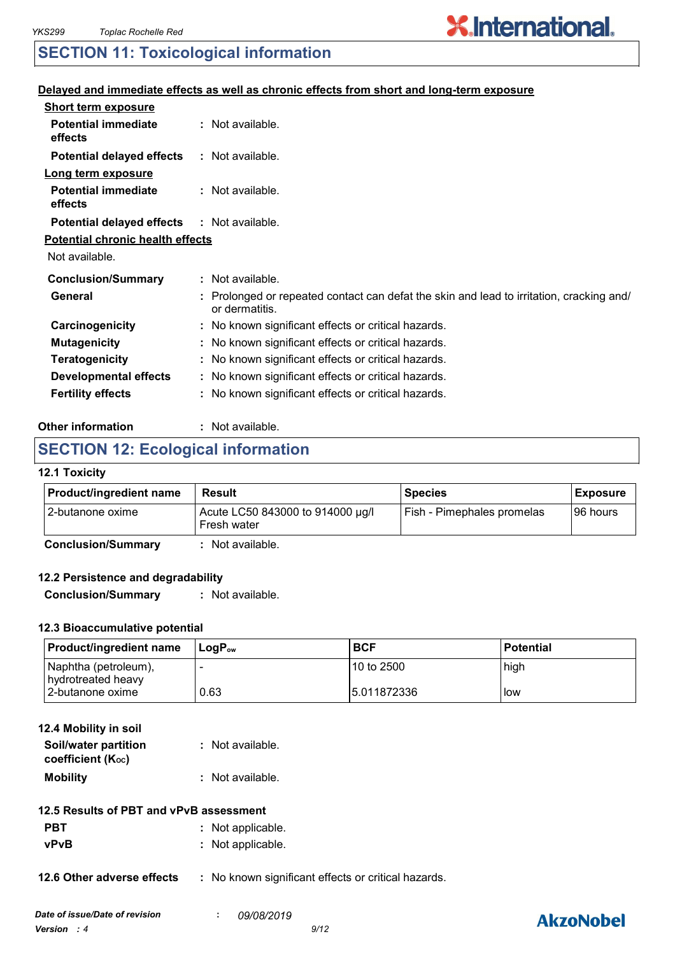# **X.International.**

# **SECTION 11: Toxicological information**

#### **Delayed and immediate effects as well as chronic effects from short and long-term exposure**

| <b>Short term exposure</b>              |                                                                                                            |
|-----------------------------------------|------------------------------------------------------------------------------------------------------------|
| <b>Potential immediate</b><br>effects   | : Not available.                                                                                           |
| <b>Potential delayed effects</b>        | : Not available.                                                                                           |
| Long term exposure                      |                                                                                                            |
| <b>Potential immediate</b><br>effects   | : Not available.                                                                                           |
| <b>Potential delayed effects</b>        | : Not available.                                                                                           |
| <b>Potential chronic health effects</b> |                                                                                                            |
| Not available.                          |                                                                                                            |
| <b>Conclusion/Summary</b>               | : Not available.                                                                                           |
| General                                 | : Prolonged or repeated contact can defat the skin and lead to irritation, cracking and/<br>or dermatitis. |
| Carcinogenicity                         | : No known significant effects or critical hazards.                                                        |
| <b>Mutagenicity</b>                     | : No known significant effects or critical hazards.                                                        |
| <b>Teratogenicity</b>                   | : No known significant effects or critical hazards.                                                        |
| <b>Developmental effects</b>            | : No known significant effects or critical hazards.                                                        |
| <b>Fertility effects</b>                | : No known significant effects or critical hazards.                                                        |

#### **Other information :** : Not available.

# **SECTION 12: Ecological information**

#### **12.1 Toxicity**

| Acute LC50 843000 to 914000 µg/l<br>Fish - Pimephales promelas<br>I96 hours<br>Fresh water | <b>Product/ingredient name</b> | Result | <b>Species</b> | <b>Exposure</b> |
|--------------------------------------------------------------------------------------------|--------------------------------|--------|----------------|-----------------|
|                                                                                            | 12-butanone oxime              |        |                |                 |

**Conclusion/Summary :** Not available.

#### **12.2 Persistence and degradability**

**Conclusion/Summary :** Not available.

#### **12.3 Bioaccumulative potential**

| <b>Product/ingredient name</b>             | ⊺LoɑP <sub>∾w</sub> | <b>BCF</b>   | <b>Potential</b> |
|--------------------------------------------|---------------------|--------------|------------------|
| Naphtha (petroleum),<br>hydrotreated heavy |                     | 10 to 2500   | high             |
| 2-butanone oxime                           | 0.63                | 15.011872336 | low              |

| 12.4 Mobility in soil |                  |
|-----------------------|------------------|
| Soil/water partition  | : Not available. |
| coefficient (Koc)     |                  |
| <b>Mobility</b>       | : Not available. |

- **PBT** : Not applicable.
- **vPvB :** Not applicable.

**12.6 Other adverse effects** : No known significant effects or critical hazards.

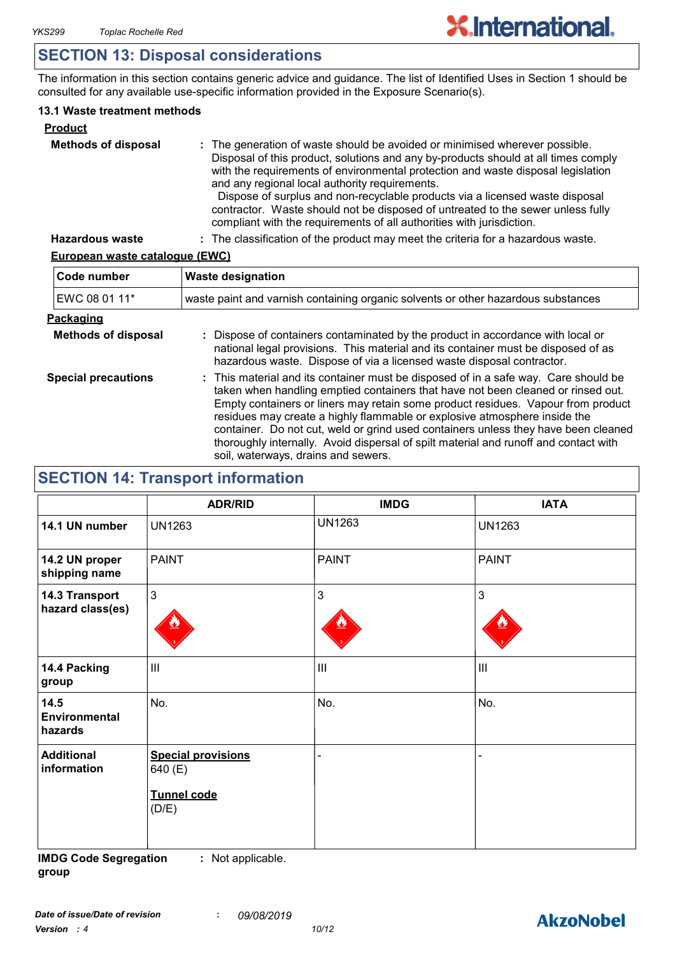# **SECTION 13: Disposal considerations**

The information in this section contains generic advice and guidance. The list of Identified Uses in Section 1 should be consulted for any available use-specific information provided in the Exposure Scenario(s).

#### **13.1 Waste treatment methods**

| <b>Product</b>             |                                                                                                                                                                                                                                                                                                                                                                                                                                                                                                                                                     |
|----------------------------|-----------------------------------------------------------------------------------------------------------------------------------------------------------------------------------------------------------------------------------------------------------------------------------------------------------------------------------------------------------------------------------------------------------------------------------------------------------------------------------------------------------------------------------------------------|
| <b>Methods of disposal</b> | : The generation of waste should be avoided or minimised wherever possible.<br>Disposal of this product, solutions and any by-products should at all times comply<br>with the requirements of environmental protection and waste disposal legislation<br>and any regional local authority requirements.<br>Dispose of surplus and non-recyclable products via a licensed waste disposal<br>contractor. Waste should not be disposed of untreated to the sewer unless fully<br>compliant with the requirements of all authorities with jurisdiction. |
| <b>Hazardous waste</b>     | : The classification of the product may meet the criteria for a hazardous waste.                                                                                                                                                                                                                                                                                                                                                                                                                                                                    |

#### **European waste catalogue (EWC)**

| Code number                | <b>Waste designation</b>                                                                                                                                                                                                                                                                                                                                                                                                                                                                                                                                      |  |  |
|----------------------------|---------------------------------------------------------------------------------------------------------------------------------------------------------------------------------------------------------------------------------------------------------------------------------------------------------------------------------------------------------------------------------------------------------------------------------------------------------------------------------------------------------------------------------------------------------------|--|--|
| EWC 08 01 11*              | waste paint and varnish containing organic solvents or other hazardous substances                                                                                                                                                                                                                                                                                                                                                                                                                                                                             |  |  |
| Packaging                  |                                                                                                                                                                                                                                                                                                                                                                                                                                                                                                                                                               |  |  |
| <b>Methods of disposal</b> | : Dispose of containers contaminated by the product in accordance with local or<br>national legal provisions. This material and its container must be disposed of as<br>hazardous waste. Dispose of via a licensed waste disposal contractor.                                                                                                                                                                                                                                                                                                                 |  |  |
| <b>Special precautions</b> | : This material and its container must be disposed of in a safe way. Care should be<br>taken when handling emptied containers that have not been cleaned or rinsed out.<br>Empty containers or liners may retain some product residues. Vapour from product<br>residues may create a highly flammable or explosive atmosphere inside the<br>container. Do not cut, weld or grind used containers unless they have been cleaned<br>thoroughly internally. Avoid dispersal of spilt material and runoff and contact with<br>soil, waterways, drains and sewers. |  |  |

# **SECTION 14: Transport information**

|                                    | <b>ADR/RID</b>                                               | <b>IMDG</b>    | <b>IATA</b>   |
|------------------------------------|--------------------------------------------------------------|----------------|---------------|
| 14.1 UN number                     | <b>UN1263</b>                                                | <b>UN1263</b>  | <b>UN1263</b> |
| 14.2 UN proper<br>shipping name    | <b>PAINT</b>                                                 | <b>PAINT</b>   | <b>PAINT</b>  |
| 14.3 Transport<br>hazard class(es) | $\mathfrak{Z}$                                               | 3              | 3             |
| 14.4 Packing<br>group              | III                                                          | $\mathbf{III}$ | III           |
| 14.5<br>Environmental<br>hazards   | No.                                                          | No.            | No.           |
| <b>Additional</b><br>information   | <b>Special provisions</b><br>640 (E)<br>Tunnel code<br>(D/E) |                |               |

**IMDG Code Segregation group :** Not applicable.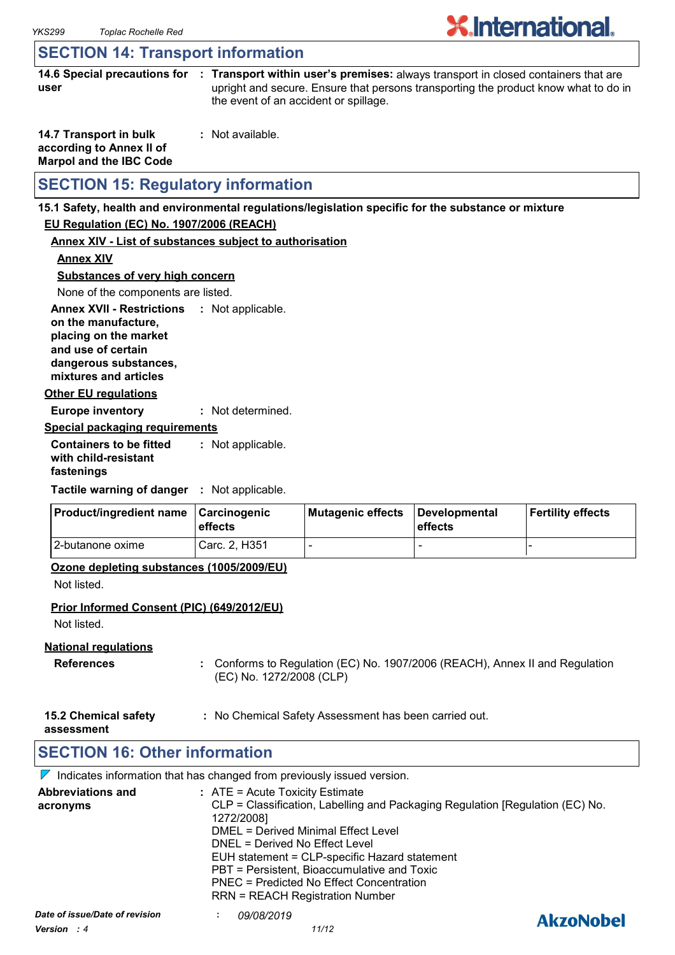# **SECTION 14: Transport information**

**14.6 Special precautions for : Transport within user's premises:** always transport in closed containers that are **user** upright and secure. Ensure that persons transporting the product know what to do in the event of an accident or spillage.

| 14.7 Transport in bulk         | : Not available. |
|--------------------------------|------------------|
| according to Annex II of       |                  |
| <b>Marpol and the IBC Code</b> |                  |

# **SECTION 15: Regulatory information**

#### **15.1 Safety, health and environmental regulations/legislation specific for the substance or mixture**

#### **EU Regulation (EC) No. 1907/2006 (REACH)**

#### **Annex XIV - List of substances subject to authorisation**

**Annex XIV**

**Substances of very high concern**

None of the components are listed.

**Annex XVII - Restrictions : Not applicable. on the manufacture, placing on the market and use of certain** 

**dangerous substances, mixtures and articles**

#### **Other EU regulations**

**Europe inventory :** Not determined.

#### **Special packaging requirements**

**Containers to be fitted with child-resistant fastenings** Not applicable. **:**

**Tactile warning of danger : Not applicable.** 

| <b>Product/ingredient name</b> | <b>∣Carcinogenic</b><br><b>leffects</b> | Mutagenic effects | Developmental<br>effects | Fertility effects |
|--------------------------------|-----------------------------------------|-------------------|--------------------------|-------------------|
| 12-butanone oxime              | Carc. 2. H351                           |                   | -                        |                   |

#### **Ozone depleting substances (1005/2009/EU)**

Not listed.

#### **Prior Informed Consent (PIC) (649/2012/EU)**

Not listed.

#### **National regulations**

- **References :** Conforms to Regulation (EC) No. 1907/2006 (REACH), Annex II and Regulation (EC) No. 1272/2008 (CLP)
- **15.2 Chemical safety :** No Chemical Safety Assessment has been carried out.

**assessment**

# **SECTION 16: Other information**

 $\nabla$  Indicates information that has changed from previously issued version.

| <b>Abbreviations and</b><br>acronyms          | $:$ ATE = Acute Toxicity Estimate<br>CLP = Classification, Labelling and Packaging Regulation [Regulation (EC) No.<br>1272/2008]<br><b>DMEL = Derived Minimal Effect Level</b><br>DNEL = Derived No Effect Level<br>EUH statement = CLP-specific Hazard statement<br>PBT = Persistent, Bioaccumulative and Toxic<br>PNEC = Predicted No Effect Concentration<br><b>RRN = REACH Registration Number</b> |                  |
|-----------------------------------------------|--------------------------------------------------------------------------------------------------------------------------------------------------------------------------------------------------------------------------------------------------------------------------------------------------------------------------------------------------------------------------------------------------------|------------------|
| Date of issue/Date of revision<br>Version : 4 | 09/08/2019<br>11/12                                                                                                                                                                                                                                                                                                                                                                                    | <b>AkzoNobel</b> |